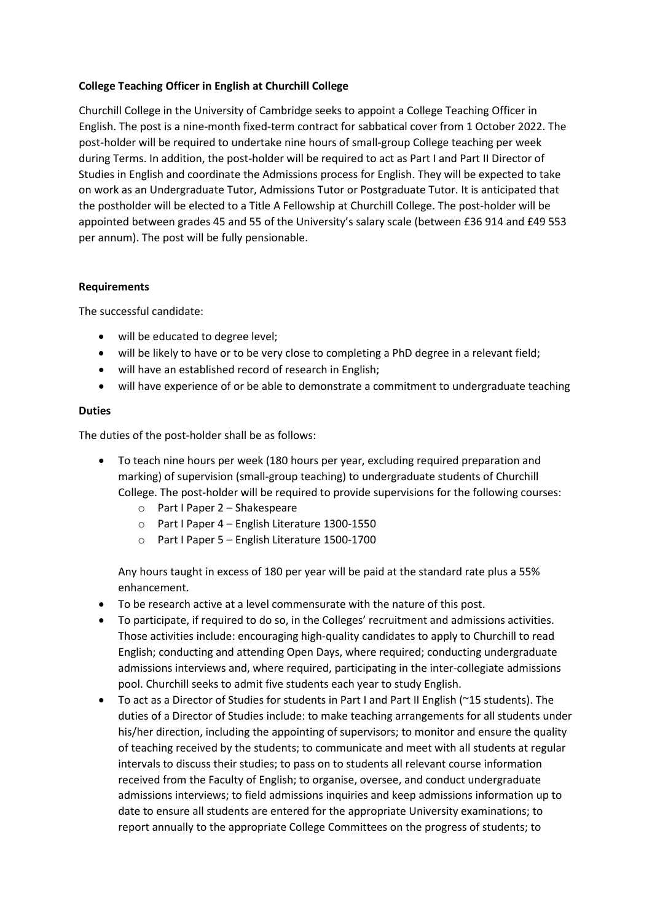## **College Teaching Officer in English at Churchill College**

Churchill College in the University of Cambridge seeks to appoint a College Teaching Officer in English. The post is a nine-month fixed-term contract for sabbatical cover from 1 October 2022. The post-holder will be required to undertake nine hours of small-group College teaching per week during Terms. In addition, the post-holder will be required to act as Part I and Part II Director of Studies in English and coordinate the Admissions process for English. They will be expected to take on work as an Undergraduate Tutor, Admissions Tutor or Postgraduate Tutor. It is anticipated that the postholder will be elected to a Title A Fellowship at Churchill College. The post-holder will be appointed between grades 45 and 55 of the University's salary scale (between £36 914 and £49 553 per annum). The post will be fully pensionable.

### **Requirements**

The successful candidate:

- will be educated to degree level;
- will be likely to have or to be very close to completing a PhD degree in a relevant field;
- will have an established record of research in English;
- will have experience of or be able to demonstrate a commitment to undergraduate teaching

### **Duties**

The duties of the post-holder shall be as follows:

- To teach nine hours per week (180 hours per year, excluding required preparation and marking) of supervision (small-group teaching) to undergraduate students of Churchill College. The post-holder will be required to provide supervisions for the following courses:
	- o Part I Paper 2 Shakespeare
	- o Part I Paper 4 English Literature 1300-1550
	- o Part I Paper 5 English Literature 1500-1700

Any hours taught in excess of 180 per year will be paid at the standard rate plus a 55% enhancement.

- To be research active at a level commensurate with the nature of this post.
- To participate, if required to do so, in the Colleges' recruitment and admissions activities. Those activities include: encouraging high-quality candidates to apply to Churchill to read English; conducting and attending Open Days, where required; conducting undergraduate admissions interviews and, where required, participating in the inter-collegiate admissions pool. Churchill seeks to admit five students each year to study English.
- To act as a Director of Studies for students in Part I and Part II English (~15 students). The duties of a Director of Studies include: to make teaching arrangements for all students under his/her direction, including the appointing of supervisors; to monitor and ensure the quality of teaching received by the students; to communicate and meet with all students at regular intervals to discuss their studies; to pass on to students all relevant course information received from the Faculty of English; to organise, oversee, and conduct undergraduate admissions interviews; to field admissions inquiries and keep admissions information up to date to ensure all students are entered for the appropriate University examinations; to report annually to the appropriate College Committees on the progress of students; to